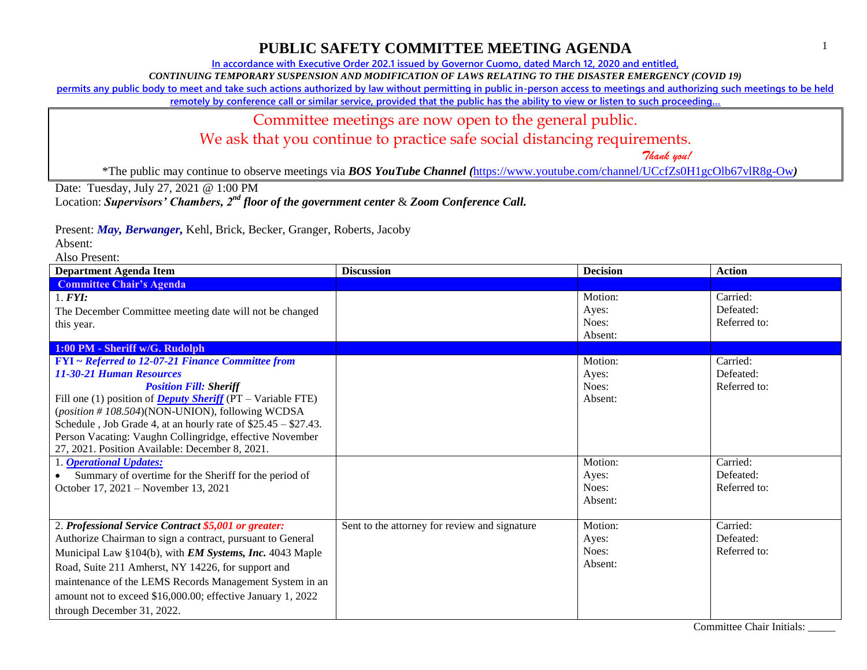**In accordance with Executive Order 202.1 issued by Governor Cuomo, dated March 12, 2020 and entitled,**

*CONTINUING TEMPORARY SUSPENSION AND MODIFICATION OF LAWS RELATING TO THE DISASTER EMERGENCY (COVID 19)*

**permits any public body to meet and take such actions authorized by law without permitting in public in-person access to meetings and authorizing such meetings to be held** 

remotely by conference call or similar service, provided that the public has the ability to view or listen to such proceeding...

#### Committee meetings are now open to the general public.

We ask that you continue to practice safe social distancing requirements.

 *Thank you!*

\*The public may continue to observe meetings via *BOS YouTube Channel (*<https://www.youtube.com/channel/UCcfZs0H1gcOlb67vlR8g-Ow>*)*

Date: Tuesday, July 27, 2021 @ 1:00 PM

Location: *Supervisors' Chambers, 2nd floor of the government center* & *Zoom Conference Call.*

Present: *May, Berwanger,* Kehl, Brick, Becker, Granger, Roberts, Jacoby

Absent:

| <b>Department Agenda Item</b>                                                                               | <b>Discussion</b>                             | <b>Decision</b> | <b>Action</b> |
|-------------------------------------------------------------------------------------------------------------|-----------------------------------------------|-----------------|---------------|
| <b>Committee Chair's Agenda</b>                                                                             |                                               |                 |               |
| 1. <b>FYI</b> :                                                                                             |                                               | Motion:         | Carried:      |
| The December Committee meeting date will not be changed                                                     |                                               | Aves:           | Defeated:     |
| this year.                                                                                                  |                                               | Noes:           | Referred to:  |
|                                                                                                             |                                               | Absent:         |               |
| 1:00 PM - Sheriff w/G. Rudolph                                                                              |                                               |                 |               |
| <b>FYI</b> ~ Referred to 12-07-21 Finance Committee from                                                    |                                               | Motion:         | Carried:      |
| <b>11-30-21 Human Resources</b>                                                                             |                                               | Ayes:           | Defeated:     |
| <b>Position Fill: Sheriff</b>                                                                               |                                               | Noes:           | Referred to:  |
| Fill one (1) position of <b>Deputy Sheriff</b> ( $PT - \text{Variable} \text{ FTE}$ )                       |                                               | Absent:         |               |
| (position #108.504)(NON-UNION), following WCDSA                                                             |                                               |                 |               |
| Schedule, Job Grade 4, at an hourly rate of $$25.45 - $27.43$ .                                             |                                               |                 |               |
| Person Vacating: Vaughn Collingridge, effective November<br>27, 2021. Position Available: December 8, 2021. |                                               |                 |               |
| 1. <b>Operational Updates:</b>                                                                              |                                               | Motion:         | Carried:      |
| Summary of overtime for the Sheriff for the period of                                                       |                                               | Ayes:           | Defeated:     |
| October 17, 2021 – November 13, 2021                                                                        |                                               | Noes:           | Referred to:  |
|                                                                                                             |                                               | Absent:         |               |
|                                                                                                             |                                               |                 |               |
| 2. Professional Service Contract \$5,001 or greater:                                                        | Sent to the attorney for review and signature | Motion:         | Carried:      |
| Authorize Chairman to sign a contract, pursuant to General                                                  |                                               | Ayes:           | Defeated:     |
| Municipal Law §104(b), with <i>EM Systems</i> , <i>Inc.</i> 4043 Maple                                      |                                               | Noes:           | Referred to:  |
| Road, Suite 211 Amherst, NY 14226, for support and                                                          |                                               | Absent:         |               |
| maintenance of the LEMS Records Management System in an                                                     |                                               |                 |               |
| amount not to exceed \$16,000.00; effective January 1, 2022                                                 |                                               |                 |               |
| through December 31, 2022.                                                                                  |                                               |                 |               |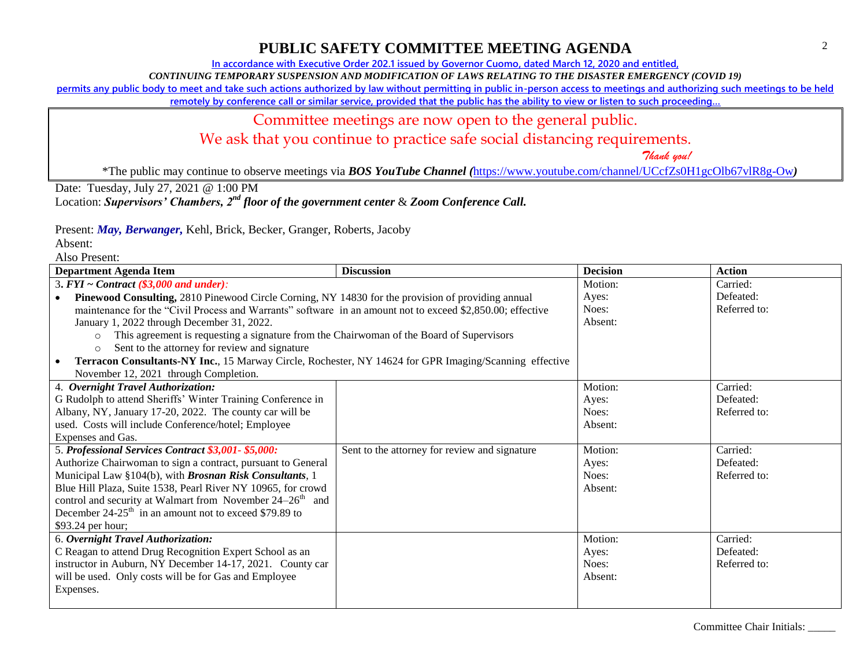**In accordance with Executive Order 202.1 issued by Governor Cuomo, dated March 12, 2020 and entitled,**

*CONTINUING TEMPORARY SUSPENSION AND MODIFICATION OF LAWS RELATING TO THE DISASTER EMERGENCY (COVID 19)*

**permits any public body to meet and take such actions authorized by law without permitting in public in-person access to meetings and authorizing such meetings to be held** 

remotely by conference call or similar service, provided that the public has the ability to view or listen to such proceeding...

#### Committee meetings are now open to the general public.

We ask that you continue to practice safe social distancing requirements.

 *Thank you!*

\*The public may continue to observe meetings via *BOS YouTube Channel (*<https://www.youtube.com/channel/UCcfZs0H1gcOlb67vlR8g-Ow>*)*

Date: Tuesday, July 27, 2021 @ 1:00 PM

Location: *Supervisors' Chambers, 2nd floor of the government center* & *Zoom Conference Call.*

Present: *May, Berwanger,* Kehl, Brick, Becker, Granger, Roberts, Jacoby

Absent:

| Department Agenda Item                                                                                     | <b>Discussion</b>                             | <b>Decision</b> | <b>Action</b> |
|------------------------------------------------------------------------------------------------------------|-----------------------------------------------|-----------------|---------------|
| 3. $FYI \sim Contract$ (\$3,000 and under):                                                                |                                               | Motion:         | Carried:      |
| Pinewood Consulting, 2810 Pinewood Circle Corning, NY 14830 for the provision of providing annual          |                                               | Ayes:           | Defeated:     |
| maintenance for the "Civil Process and Warrants" software in an amount not to exceed \$2,850.00; effective |                                               | Noes:           | Referred to:  |
| January 1, 2022 through December 31, 2022.                                                                 |                                               | Absent:         |               |
| This agreement is requesting a signature from the Chairwoman of the Board of Supervisors<br>$\circ$        |                                               |                 |               |
| Sent to the attorney for review and signature<br>$\circ$                                                   |                                               |                 |               |
| Terracon Consultants-NY Inc., 15 Marway Circle, Rochester, NY 14624 for GPR Imaging/Scanning effective     |                                               |                 |               |
| November 12, 2021 through Completion.                                                                      |                                               |                 |               |
| 4. Overnight Travel Authorization:                                                                         |                                               | Motion:         | Carried:      |
| G Rudolph to attend Sheriffs' Winter Training Conference in                                                |                                               | Ayes:           | Defeated:     |
| Albany, NY, January 17-20, 2022. The county car will be                                                    |                                               | Noes:           | Referred to:  |
| used. Costs will include Conference/hotel; Employee                                                        |                                               | Absent:         |               |
| Expenses and Gas.                                                                                          |                                               |                 |               |
| 5. Professional Services Contract \$3,001-\$5,000:                                                         | Sent to the attorney for review and signature | Motion:         | Carried:      |
| Authorize Chairwoman to sign a contract, pursuant to General                                               |                                               | Ayes:           | Defeated:     |
| Municipal Law §104(b), with Brosnan Risk Consultants, 1                                                    |                                               | Noes:           | Referred to:  |
| Blue Hill Plaza, Suite 1538, Pearl River NY 10965, for crowd                                               |                                               | Absent:         |               |
| control and security at Walmart from November $24-26th$ and                                                |                                               |                 |               |
| December $24-25$ <sup>th</sup> in an amount not to exceed \$79.89 to                                       |                                               |                 |               |
| \$93.24 per hour;                                                                                          |                                               |                 |               |
| 6. Overnight Travel Authorization:                                                                         |                                               | Motion:         | Carried:      |
| C Reagan to attend Drug Recognition Expert School as an                                                    |                                               | Ayes:           | Defeated:     |
| instructor in Auburn, NY December 14-17, 2021. County car                                                  |                                               | Noes:           | Referred to:  |
| will be used. Only costs will be for Gas and Employee                                                      |                                               | Absent:         |               |
| Expenses.                                                                                                  |                                               |                 |               |
|                                                                                                            |                                               |                 |               |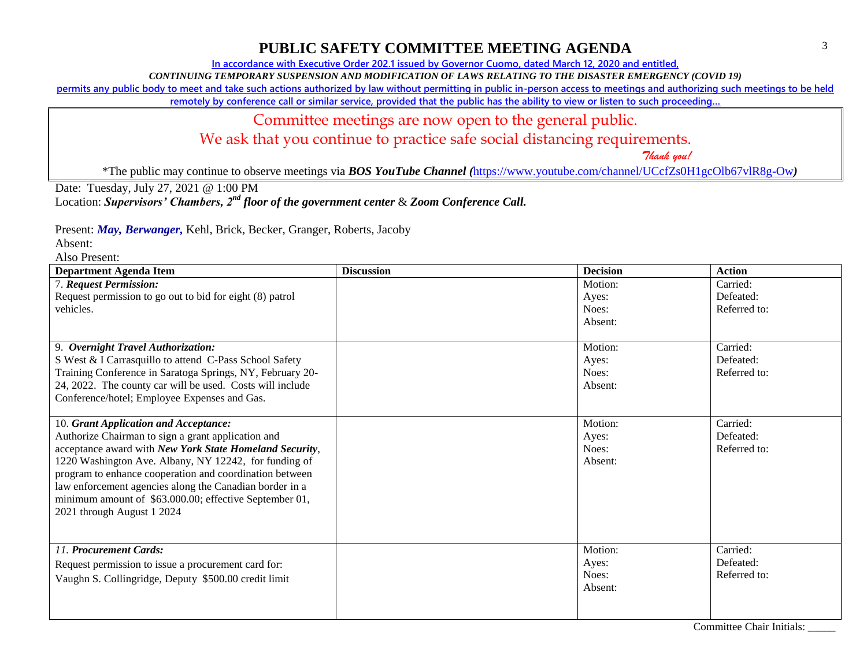**In accordance with Executive Order 202.1 issued by Governor Cuomo, dated March 12, 2020 and entitled,**

*CONTINUING TEMPORARY SUSPENSION AND MODIFICATION OF LAWS RELATING TO THE DISASTER EMERGENCY (COVID 19)*

**permits any public body to meet and take such actions authorized by law without permitting in public in-person access to meetings and authorizing such meetings to be held** 

remotely by conference call or similar service, provided that the public has the ability to view or listen to such proceeding...

#### Committee meetings are now open to the general public.

We ask that you continue to practice safe social distancing requirements.

 *Thank you!*

\*The public may continue to observe meetings via *BOS YouTube Channel (*<https://www.youtube.com/channel/UCcfZs0H1gcOlb67vlR8g-Ow>*)*

Date: Tuesday, July 27, 2021 @ 1:00 PM

Location: *Supervisors' Chambers, 2nd floor of the government center* & *Zoom Conference Call.*

Present: *May, Berwanger,* Kehl, Brick, Becker, Granger, Roberts, Jacoby

Absent:

| <b>Department Agenda Item</b>                             | <b>Discussion</b> | <b>Decision</b> | <b>Action</b>                      |
|-----------------------------------------------------------|-------------------|-----------------|------------------------------------|
| 7. Request Permission:                                    |                   | Motion:         | Carried:                           |
| Request permission to go out to bid for eight (8) patrol  |                   | Ayes:           | Defeated:                          |
| vehicles.                                                 |                   | Noes:           | Referred to:                       |
|                                                           |                   | Absent:         |                                    |
|                                                           |                   |                 |                                    |
| 9. Overnight Travel Authorization:                        |                   | Motion:         | Carried:                           |
| S West & I Carrasquillo to attend C-Pass School Safety    |                   | Ayes:           | Defeated:                          |
| Training Conference in Saratoga Springs, NY, February 20- |                   | Noes:           | Referred to:                       |
| 24, 2022. The county car will be used. Costs will include |                   | Absent:         |                                    |
| Conference/hotel; Employee Expenses and Gas.              |                   |                 |                                    |
|                                                           |                   |                 |                                    |
| 10. Grant Application and Acceptance:                     |                   | Motion:         | Carried:                           |
| Authorize Chairman to sign a grant application and        |                   | Ayes:           | Defeated:                          |
| acceptance award with New York State Homeland Security,   |                   | Noes:           | Referred to:                       |
| 1220 Washington Ave. Albany, NY 12242, for funding of     |                   | Absent:         |                                    |
| program to enhance cooperation and coordination between   |                   |                 |                                    |
| law enforcement agencies along the Canadian border in a   |                   |                 |                                    |
| minimum amount of \$63.000.00; effective September 01,    |                   |                 |                                    |
| 2021 through August 1 2024                                |                   |                 |                                    |
|                                                           |                   |                 |                                    |
|                                                           |                   |                 |                                    |
| 11. Procurement Cards:                                    |                   | Motion:         | Carried:                           |
| Request permission to issue a procurement card for:       |                   | Ayes:           | Defeated:                          |
| Vaughn S. Collingridge, Deputy \$500.00 credit limit      |                   | Noes:           | Referred to:                       |
|                                                           |                   | Absent:         |                                    |
|                                                           |                   |                 |                                    |
|                                                           |                   | $\sim$          | $\sim$ $\sim$ $\sim$ $\sim$ $\sim$ |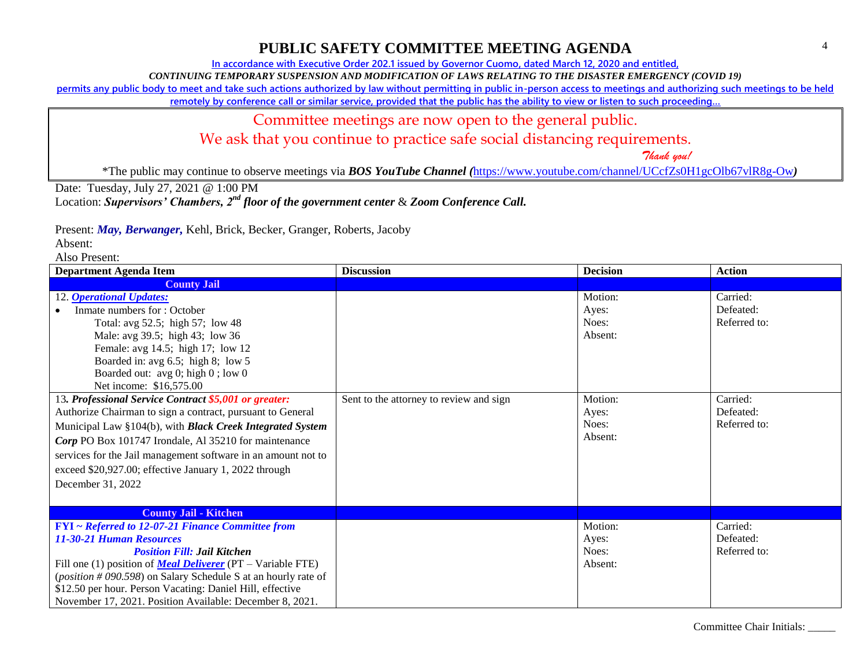**In accordance with Executive Order 202.1 issued by Governor Cuomo, dated March 12, 2020 and entitled,**

*CONTINUING TEMPORARY SUSPENSION AND MODIFICATION OF LAWS RELATING TO THE DISASTER EMERGENCY (COVID 19)*

**permits any public body to meet and take such actions authorized by law without permitting in public in-person access to meetings and authorizing such meetings to be held** 

remotely by conference call or similar service, provided that the public has the ability to view or listen to such proceeding...

#### Committee meetings are now open to the general public.

We ask that you continue to practice safe social distancing requirements.

 *Thank you!*

\*The public may continue to observe meetings via *BOS YouTube Channel (*<https://www.youtube.com/channel/UCcfZs0H1gcOlb67vlR8g-Ow>*)*

Date: Tuesday, July 27, 2021 @ 1:00 PM

Location: *Supervisors' Chambers, 2nd floor of the government center* & *Zoom Conference Call.*

Present: *May, Berwanger,* Kehl, Brick, Becker, Granger, Roberts, Jacoby

Absent:

| <b>Department Agenda Item</b>                                                 | <b>Discussion</b>                       | <b>Decision</b> | <b>Action</b> |
|-------------------------------------------------------------------------------|-----------------------------------------|-----------------|---------------|
| <b>County Jail</b>                                                            |                                         |                 |               |
| 12. <b>Operational Updates:</b>                                               |                                         | Motion:         | Carried:      |
| Inmate numbers for: October                                                   |                                         | Ayes:           | Defeated:     |
| Total: avg 52.5; high 57; low 48                                              |                                         | Noes:           | Referred to:  |
| Male: avg 39.5; high 43; low 36                                               |                                         | Absent:         |               |
| Female: avg 14.5; high 17; low 12                                             |                                         |                 |               |
| Boarded in: avg 6.5; high 8; low 5                                            |                                         |                 |               |
| Boarded out: avg 0; high 0; low 0                                             |                                         |                 |               |
| Net income: \$16,575.00                                                       |                                         |                 |               |
| 13. Professional Service Contract \$5,001 or greater:                         | Sent to the attorney to review and sign | Motion:         | Carried:      |
| Authorize Chairman to sign a contract, pursuant to General                    |                                         | Ayes:           | Defeated:     |
| Municipal Law §104(b), with <b>Black Creek Integrated System</b>              |                                         | Noes:           | Referred to:  |
| Corp PO Box 101747 Irondale, Al 35210 for maintenance                         |                                         | Absent:         |               |
| services for the Jail management software in an amount not to                 |                                         |                 |               |
| exceed \$20,927.00; effective January 1, 2022 through                         |                                         |                 |               |
| December 31, 2022                                                             |                                         |                 |               |
|                                                                               |                                         |                 |               |
| <b>County Jail - Kitchen</b>                                                  |                                         |                 |               |
| <b>FYI</b> ~ Referred to 12-07-21 Finance Committee from                      |                                         | Motion:         | Carried:      |
| 11-30-21 Human Resources                                                      |                                         | Ayes:           | Defeated:     |
| <b>Position Fill: Jail Kitchen</b>                                            |                                         | Noes:           | Referred to:  |
| Fill one (1) position of <b><i>Meal Deliverer</i></b> ( $PT - Variable FTE$ ) |                                         | Absent:         |               |
| ( <i>position</i> #090.598) on Salary Schedule S at an hourly rate of         |                                         |                 |               |
| \$12.50 per hour. Person Vacating: Daniel Hill, effective                     |                                         |                 |               |
| November 17, 2021. Position Available: December 8, 2021.                      |                                         |                 |               |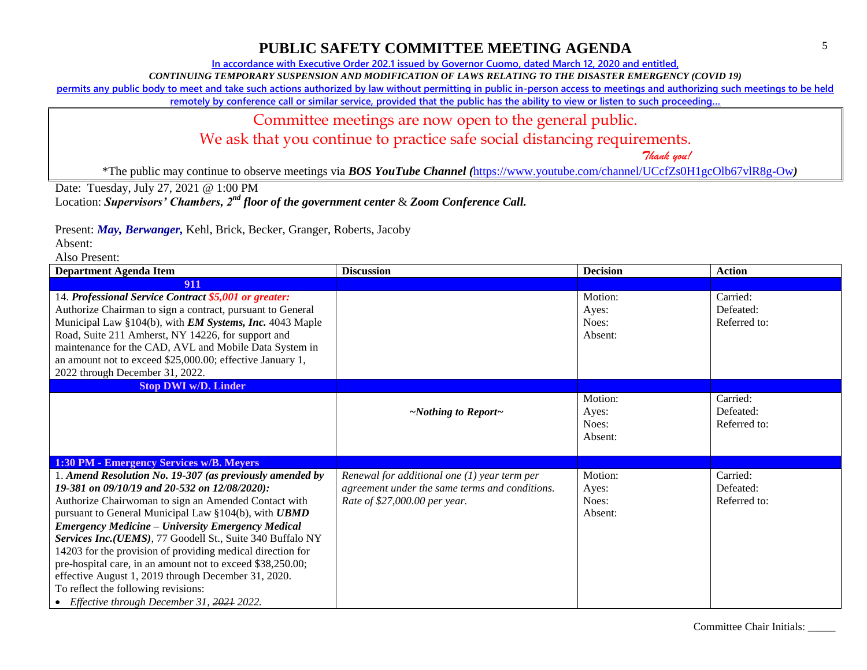**In accordance with Executive Order 202.1 issued by Governor Cuomo, dated March 12, 2020 and entitled,**

*CONTINUING TEMPORARY SUSPENSION AND MODIFICATION OF LAWS RELATING TO THE DISASTER EMERGENCY (COVID 19)*

**permits any public body to meet and take such actions authorized by law without permitting in public in-person access to meetings and authorizing such meetings to be held** 

remotely by conference call or similar service, provided that the public has the ability to view or listen to such proceeding...

### Committee meetings are now open to the general public.

We ask that you continue to practice safe social distancing requirements.

 *Thank you!*

\*The public may continue to observe meetings via *BOS YouTube Channel (*<https://www.youtube.com/channel/UCcfZs0H1gcOlb67vlR8g-Ow>*)*

Date: Tuesday, July 27, 2021 @ 1:00 PM

Location: *Supervisors' Chambers, 2nd floor of the government center* & *Zoom Conference Call.*

Present: *May, Berwanger,* Kehl, Brick, Becker, Granger, Roberts, Jacoby

Absent:

| <b>Department Agenda Item</b>                                                                                                                                                                                                                                                                                                                                                                                                                                                                                         | <b>Discussion</b>                              | <b>Decision</b>  | <b>Action</b>         |
|-----------------------------------------------------------------------------------------------------------------------------------------------------------------------------------------------------------------------------------------------------------------------------------------------------------------------------------------------------------------------------------------------------------------------------------------------------------------------------------------------------------------------|------------------------------------------------|------------------|-----------------------|
| 911                                                                                                                                                                                                                                                                                                                                                                                                                                                                                                                   |                                                |                  |                       |
| 14. Professional Service Contract \$5,001 or greater:<br>Authorize Chairman to sign a contract, pursuant to General                                                                                                                                                                                                                                                                                                                                                                                                   |                                                | Motion:<br>Ayes: | Carried:<br>Defeated: |
| Municipal Law §104(b), with <i>EM Systems</i> , <i>Inc.</i> 4043 Maple                                                                                                                                                                                                                                                                                                                                                                                                                                                |                                                | Noes:            | Referred to:          |
| Road, Suite 211 Amherst, NY 14226, for support and                                                                                                                                                                                                                                                                                                                                                                                                                                                                    |                                                | Absent:          |                       |
| maintenance for the CAD, AVL and Mobile Data System in                                                                                                                                                                                                                                                                                                                                                                                                                                                                |                                                |                  |                       |
| an amount not to exceed \$25,000.00; effective January 1,                                                                                                                                                                                                                                                                                                                                                                                                                                                             |                                                |                  |                       |
| 2022 through December 31, 2022.                                                                                                                                                                                                                                                                                                                                                                                                                                                                                       |                                                |                  |                       |
| <b>Stop DWI w/D. Linder</b>                                                                                                                                                                                                                                                                                                                                                                                                                                                                                           |                                                |                  |                       |
|                                                                                                                                                                                                                                                                                                                                                                                                                                                                                                                       |                                                | Motion:<br>Ayes: | Carried:<br>Defeated: |
|                                                                                                                                                                                                                                                                                                                                                                                                                                                                                                                       | $\sim$ Nothing to Report $\sim$                | Noes:            | Referred to:          |
|                                                                                                                                                                                                                                                                                                                                                                                                                                                                                                                       |                                                | Absent:          |                       |
|                                                                                                                                                                                                                                                                                                                                                                                                                                                                                                                       |                                                |                  |                       |
| 1:30 PM - Emergency Services w/B. Meyers                                                                                                                                                                                                                                                                                                                                                                                                                                                                              |                                                |                  |                       |
| 1. Amend Resolution No. 19-307 (as previously amended by                                                                                                                                                                                                                                                                                                                                                                                                                                                              | Renewal for additional one $(1)$ year term per | Motion:          | Carried:              |
| 19-381 on 09/10/19 and 20-532 on 12/08/2020):                                                                                                                                                                                                                                                                                                                                                                                                                                                                         | agreement under the same terms and conditions. | Ayes:            | Defeated:             |
|                                                                                                                                                                                                                                                                                                                                                                                                                                                                                                                       |                                                |                  |                       |
|                                                                                                                                                                                                                                                                                                                                                                                                                                                                                                                       |                                                |                  |                       |
|                                                                                                                                                                                                                                                                                                                                                                                                                                                                                                                       |                                                |                  |                       |
|                                                                                                                                                                                                                                                                                                                                                                                                                                                                                                                       |                                                |                  |                       |
|                                                                                                                                                                                                                                                                                                                                                                                                                                                                                                                       |                                                |                  |                       |
|                                                                                                                                                                                                                                                                                                                                                                                                                                                                                                                       |                                                |                  |                       |
|                                                                                                                                                                                                                                                                                                                                                                                                                                                                                                                       |                                                |                  |                       |
|                                                                                                                                                                                                                                                                                                                                                                                                                                                                                                                       |                                                |                  |                       |
| Authorize Chairwoman to sign an Amended Contact with<br>pursuant to General Municipal Law §104(b), with <b>UBMD</b><br><b>Emergency Medicine – University Emergency Medical</b><br>Services Inc.(UEMS), 77 Goodell St., Suite 340 Buffalo NY<br>14203 for the provision of providing medical direction for<br>pre-hospital care, in an amount not to exceed \$38,250.00;<br>effective August 1, 2019 through December 31, 2020.<br>To reflect the following revisions:<br>• Effective through December 31, 2021 2022. | Rate of \$27,000.00 per year.                  | Noes:<br>Absent: | Referred to:          |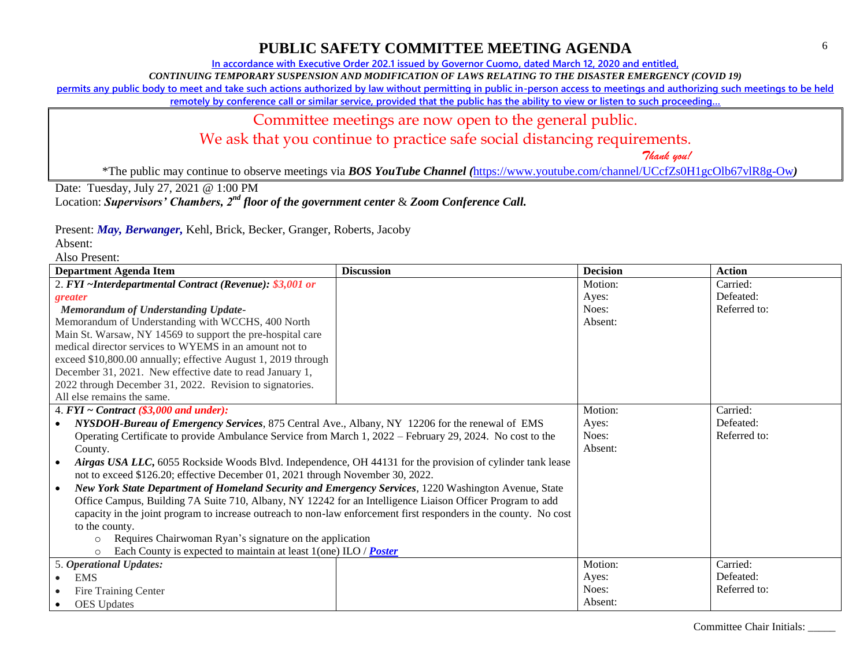**In accordance with Executive Order 202.1 issued by Governor Cuomo, dated March 12, 2020 and entitled,**

*CONTINUING TEMPORARY SUSPENSION AND MODIFICATION OF LAWS RELATING TO THE DISASTER EMERGENCY (COVID 19)*

**permits any public body to meet and take such actions authorized by law without permitting in public in-person access to meetings and authorizing such meetings to be held** 

remotely by conference call or similar service, provided that the public has the ability to view or listen to such proceeding...

# Committee meetings are now open to the general public.

We ask that you continue to practice safe social distancing requirements.

 *Thank you!*

\*The public may continue to observe meetings via *BOS YouTube Channel (*<https://www.youtube.com/channel/UCcfZs0H1gcOlb67vlR8g-Ow>*)*

Date: Tuesday, July 27, 2021 @ 1:00 PM

Location: *Supervisors' Chambers, 2nd floor of the government center* & *Zoom Conference Call.*

Present: *May, Berwanger,* Kehl, Brick, Becker, Granger, Roberts, Jacoby

Absent:

| <b>Department Agenda Item</b>                                                                                     | <b>Discussion</b> | <b>Decision</b> | <b>Action</b> |
|-------------------------------------------------------------------------------------------------------------------|-------------------|-----------------|---------------|
| 2. FYI ~Interdepartmental Contract (Revenue): \$3,001 or                                                          |                   | Motion:         | Carried:      |
| greater                                                                                                           |                   | Ayes:           | Defeated:     |
| <b>Memorandum of Understanding Update-</b>                                                                        |                   | Noes:           | Referred to:  |
| Memorandum of Understanding with WCCHS, 400 North                                                                 |                   | Absent:         |               |
| Main St. Warsaw, NY 14569 to support the pre-hospital care                                                        |                   |                 |               |
| medical director services to WYEMS in an amount not to                                                            |                   |                 |               |
| exceed \$10,800.00 annually; effective August 1, 2019 through                                                     |                   |                 |               |
| December 31, 2021. New effective date to read January 1,                                                          |                   |                 |               |
| 2022 through December 31, 2022. Revision to signatories.                                                          |                   |                 |               |
| All else remains the same.                                                                                        |                   |                 |               |
| 4. $FYI \sim Contract$ (\$3,000 and under):                                                                       |                   | Motion:         | Carried:      |
| NYSDOH-Bureau of Emergency Services, 875 Central Ave., Albany, NY 12206 for the renewal of EMS                    |                   | Ayes:           | Defeated:     |
| Operating Certificate to provide Ambulance Service from March 1, 2022 – February 29, 2024. No cost to the         |                   | Noes:           | Referred to:  |
| County.                                                                                                           |                   | Absent:         |               |
| Airgas USA LLC, 6055 Rockside Woods Blvd. Independence, OH 44131 for the provision of cylinder tank lease         |                   |                 |               |
| not to exceed \$126.20; effective December 01, 2021 through November 30, 2022.                                    |                   |                 |               |
| New York State Department of Homeland Security and Emergency Services, 1220 Washington Avenue, State              |                   |                 |               |
| Office Campus, Building 7A Suite 710, Albany, NY 12242 for an Intelligence Liaison Officer Program to add         |                   |                 |               |
| capacity in the joint program to increase outreach to non-law enforcement first responders in the county. No cost |                   |                 |               |
| to the county.                                                                                                    |                   |                 |               |
| Requires Chairwoman Ryan's signature on the application<br>$\circ$                                                |                   |                 |               |
| Each County is expected to maintain at least $1$ (one) ILO / <b>Poster</b><br>$\circ$                             |                   |                 |               |
| 5. Operational Updates:                                                                                           |                   | Motion:         | Carried:      |
| <b>EMS</b>                                                                                                        |                   | Ayes:           | Defeated:     |
| Fire Training Center                                                                                              |                   | Noes:           | Referred to:  |
| <b>OES</b> Updates                                                                                                |                   | Absent:         |               |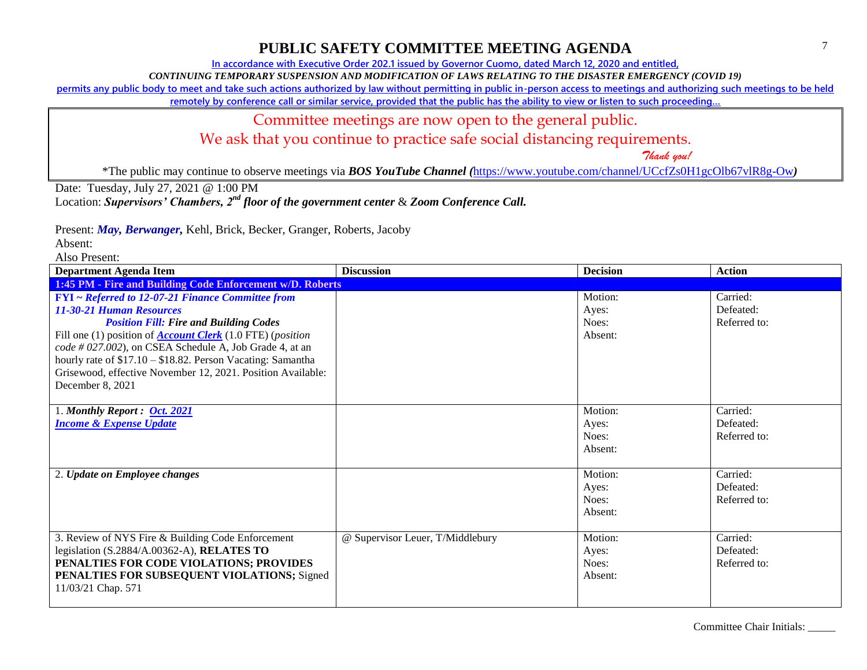**In accordance with Executive Order 202.1 issued by Governor Cuomo, dated March 12, 2020 and entitled,**

*CONTINUING TEMPORARY SUSPENSION AND MODIFICATION OF LAWS RELATING TO THE DISASTER EMERGENCY (COVID 19)*

**permits any public body to meet and take such actions authorized by law without permitting in public in-person access to meetings and authorizing such meetings to be held** 

remotely by conference call or similar service, provided that the public has the ability to view or listen to such proceeding...

### Committee meetings are now open to the general public.

We ask that you continue to practice safe social distancing requirements.

 *Thank you!*

\*The public may continue to observe meetings via *BOS YouTube Channel (*<https://www.youtube.com/channel/UCcfZs0H1gcOlb67vlR8g-Ow>*)*

Date: Tuesday, July 27, 2021 @ 1:00 PM

Location: *Supervisors' Chambers, 2nd floor of the government center* & *Zoom Conference Call.*

Present: *May, Berwanger,* Kehl, Brick, Becker, Granger, Roberts, Jacoby

Absent:

| <b>Department Agenda Item</b>                                                                                                                                                                                                                                                                                                                                                                                                     | <b>Discussion</b>                | <b>Decision</b>                      | <b>Action</b>                         |  |
|-----------------------------------------------------------------------------------------------------------------------------------------------------------------------------------------------------------------------------------------------------------------------------------------------------------------------------------------------------------------------------------------------------------------------------------|----------------------------------|--------------------------------------|---------------------------------------|--|
| 1:45 PM - Fire and Building Code Enforcement w/D. Roberts                                                                                                                                                                                                                                                                                                                                                                         |                                  |                                      |                                       |  |
| FYI ~ Referred to 12-07-21 Finance Committee from<br><b>11-30-21 Human Resources</b><br><b>Position Fill: Fire and Building Codes</b><br>Fill one (1) position of <b>Account Clerk</b> (1.0 FTE) ( <i>position</i><br>$code # 027.002$ , on CSEA Schedule A, Job Grade 4, at an<br>hourly rate of \$17.10 - \$18.82. Person Vacating: Samantha<br>Grisewood, effective November 12, 2021. Position Available:<br>December 8, 2021 |                                  | Motion:<br>Ayes:<br>Noes:<br>Absent: | Carried:<br>Defeated:<br>Referred to: |  |
| 1. Monthly Report: Oct. 2021<br><b>Income &amp; Expense Update</b>                                                                                                                                                                                                                                                                                                                                                                |                                  | Motion:<br>Ayes:<br>Noes:<br>Absent: | Carried:<br>Defeated:<br>Referred to: |  |
| 2. Update on Employee changes                                                                                                                                                                                                                                                                                                                                                                                                     |                                  | Motion:<br>Ayes:<br>Noes:<br>Absent: | Carried:<br>Defeated:<br>Referred to: |  |
| 3. Review of NYS Fire & Building Code Enforcement<br>legislation (S.2884/A.00362-A), RELATES TO<br>PENALTIES FOR CODE VIOLATIONS; PROVIDES<br>PENALTIES FOR SUBSEQUENT VIOLATIONS; Signed<br>11/03/21 Chap. 571                                                                                                                                                                                                                   | @ Supervisor Leuer, T/Middlebury | Motion:<br>Ayes:<br>Noes:<br>Absent: | Carried:<br>Defeated:<br>Referred to: |  |